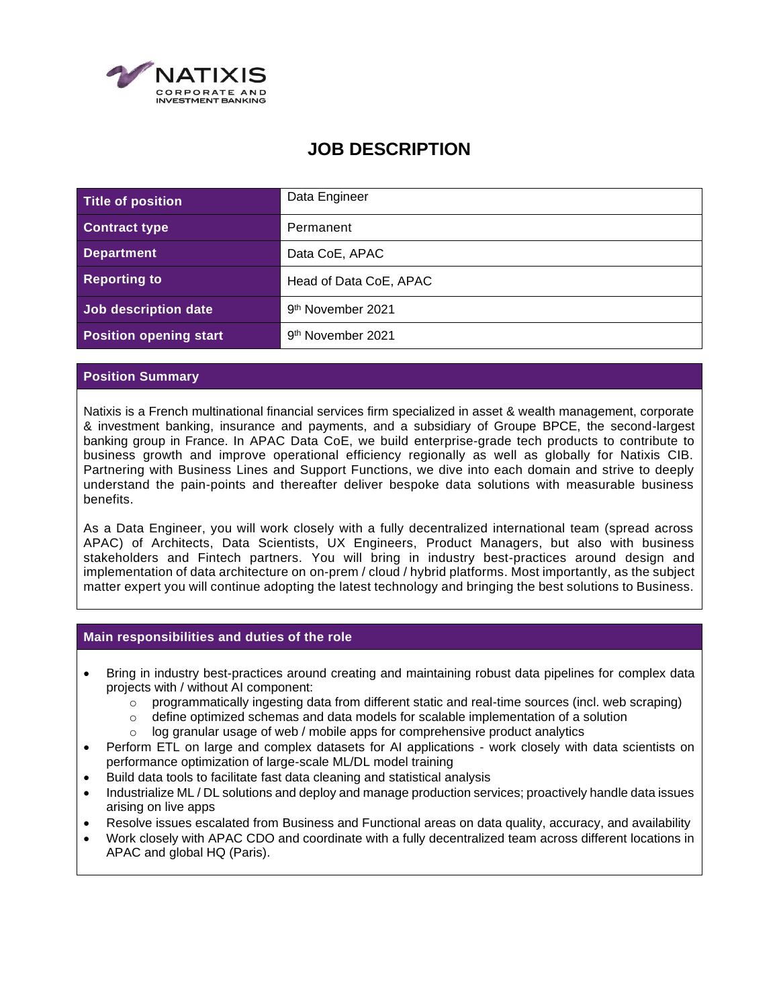

# **JOB DESCRIPTION**

| Title of position             | Data Engineer                 |
|-------------------------------|-------------------------------|
| <b>Contract type</b>          | Permanent                     |
| <b>Department</b>             | Data CoE, APAC                |
| <b>Reporting to</b>           | Head of Data CoE, APAC        |
| Job description date          | 9 <sup>th</sup> November 2021 |
| <b>Position opening start</b> | 9 <sup>th</sup> November 2021 |

## **Position Summary**

Natixis is a French multinational financial services firm specialized in asset & wealth management, corporate & investment banking, insurance and payments, and a subsidiary of Groupe BPCE, the second-largest banking group in France. In APAC Data CoE, we build enterprise-grade tech products to contribute to business growth and improve operational efficiency regionally as well as globally for Natixis CIB. Partnering with Business Lines and Support Functions, we dive into each domain and strive to deeply understand the pain-points and thereafter deliver bespoke data solutions with measurable business benefits.

As a Data Engineer, you will work closely with a fully decentralized international team (spread across APAC) of Architects, Data Scientists, UX Engineers, Product Managers, but also with business stakeholders and Fintech partners. You will bring in industry best-practices around design and implementation of data architecture on on-prem / cloud / hybrid platforms. Most importantly, as the subject matter expert you will continue adopting the latest technology and bringing the best solutions to Business.

## **Main responsibilities and duties of the role**

- Bring in industry best-practices around creating and maintaining robust data pipelines for complex data projects with / without AI component:
	- $\circ$  programmatically ingesting data from different static and real-time sources (incl. web scraping)
	- $\circ$  define optimized schemas and data models for scalable implementation of a solution
	- $\circ$  log granular usage of web / mobile apps for comprehensive product analytics
- Perform ETL on large and complex datasets for AI applications work closely with data scientists on performance optimization of large-scale ML/DL model training
- Build data tools to facilitate fast data cleaning and statistical analysis
- Industrialize ML / DL solutions and deploy and manage production services; proactively handle data issues arising on live apps
- Resolve issues escalated from Business and Functional areas on data quality, accuracy, and availability
- Work closely with APAC CDO and coordinate with a fully decentralized team across different locations in APAC and global HQ (Paris).